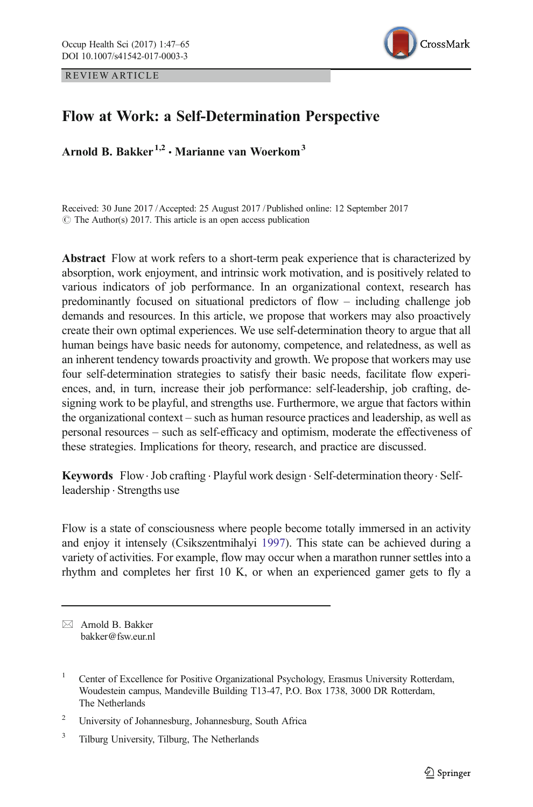REVIEW ARTICLE



# Flow at Work: a Self-Determination Perspective

Arnold B. Bakker<sup>1,2</sup>  $\cdot$  Marianne van Woerkom<sup>3</sup>

Received: 30 June 2017 /Accepted: 25 August 2017 /Published online: 12 September 2017  $\circ$  The Author(s) 2017. This article is an open access publication

Abstract Flow at work refers to a short-term peak experience that is characterized by absorption, work enjoyment, and intrinsic work motivation, and is positively related to various indicators of job performance. In an organizational context, research has predominantly focused on situational predictors of flow – including challenge job demands and resources. In this article, we propose that workers may also proactively create their own optimal experiences. We use self-determination theory to argue that all human beings have basic needs for autonomy, competence, and relatedness, as well as an inherent tendency towards proactivity and growth. We propose that workers may use four self-determination strategies to satisfy their basic needs, facilitate flow experiences, and, in turn, increase their job performance: self-leadership, job crafting, designing work to be playful, and strengths use. Furthermore, we argue that factors within the organizational context – such as human resource practices and leadership, as well as personal resources – such as self-efficacy and optimism, moderate the effectiveness of these strategies. Implications for theory, research, and practice are discussed.

Keywords Flow.Job crafting . Playful work design . Self-determination theory. Selfleadership . Strengths use

Flow is a state of consciousness where people become totally immersed in an activity and enjoy it intensely (Csikszentmihalyi [1997](#page-15-0)). This state can be achieved during a variety of activities. For example, flow may occur when a marathon runner settles into a rhythm and completes her first 10 K, or when an experienced gamer gets to fly a

 $\boxtimes$  Arnold B. Bakker [bakker@fsw.eur.nl](mailto:bakker@fsw.eur.nl)

<sup>&</sup>lt;sup>1</sup> Center of Excellence for Positive Organizational Psychology, Erasmus University Rotterdam, Woudestein campus, Mandeville Building T13-47, P.O. Box 1738, 3000 DR Rotterdam, The Netherlands

<sup>2</sup> University of Johannesburg, Johannesburg, South Africa

<sup>&</sup>lt;sup>3</sup> Tilburg University, Tilburg, The Netherlands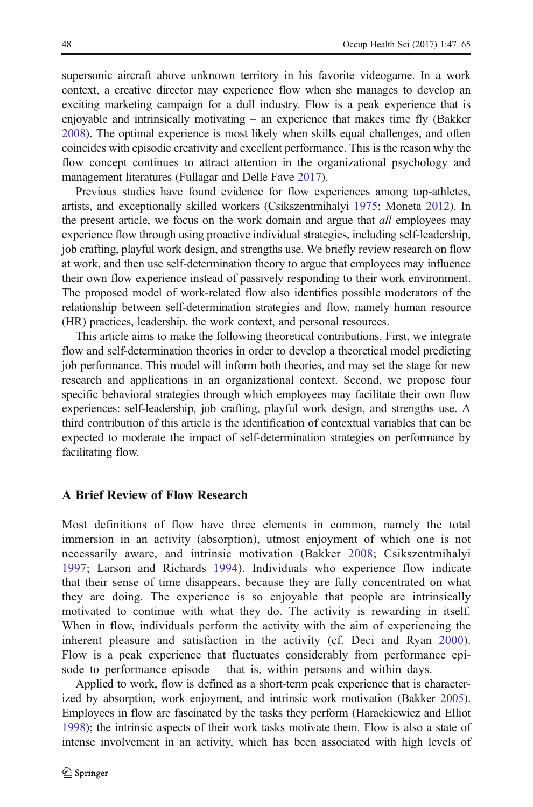supersonic aircraft above unknown territory in his favorite videogame. In a work context, a creative director may experience flow when she manages to develop an exciting marketing campaign for a dull industry. Flow is a peak experience that is enjoyable and intrinsically motivating  $-$  an experience that makes time fly (Bakker [2008\)](#page-14-0). The optimal experience is most likely when skills equal challenges, and often coincides with episodic creativity and excellent performance. This is the reason why the flow concept continues to attract attention in the organizational psychology and management literatures (Fullagar and Delle Fave [2017](#page-16-0)).

Previous studies have found evidence for flow experiences among top-athletes, artists, and exceptionally skilled workers (Csikszentmihalyi [1975](#page-15-0); Moneta [2012\)](#page-17-0). In the present article, we focus on the work domain and argue that *all* employees may experience flow through using proactive individual strategies, including self-leadership, job crafting, playful work design, and strengths use. We briefly review research on flow at work, and then use self-determination theory to argue that employees may influence their own flow experience instead of passively responding to their work environment. The proposed model of work-related flow also identifies possible moderators of the relationship between self-determination strategies and flow, namely human resource (HR) practices, leadership, the work context, and personal resources.

This article aims to make the following theoretical contributions. First, we integrate flow and self-determination theories in order to develop a theoretical model predicting job performance. This model will inform both theories, and may set the stage for new research and applications in an organizational context. Second, we propose four specific behavioral strategies through which employees may facilitate their own flow experiences: self-leadership, job crafting, playful work design, and strengths use. A third contribution of this article is the identification of contextual variables that can be expected to moderate the impact of self-determination strategies on performance by facilitating flow.

### A Brief Review of Flow Research

Most definitions of flow have three elements in common, namely the total immersion in an activity (absorption), utmost enjoyment of which one is not necessarily aware, and intrinsic motivation (Bakker [2008;](#page-14-0) Csikszentmihalyi [1997](#page-15-0); Larson and Richards [1994](#page-17-0)). Individuals who experience flow indicate that their sense of time disappears, because they are fully concentrated on what they are doing. The experience is so enjoyable that people are intrinsically motivated to continue with what they do. The activity is rewarding in itself. When in flow, individuals perform the activity with the aim of experiencing the inherent pleasure and satisfaction in the activity (cf. Deci and Ryan [2000\)](#page-15-0). Flow is a peak experience that fluctuates considerably from performance episode to performance episode – that is, within persons and within days.

Applied to work, flow is defined as a short-term peak experience that is characterized by absorption, work enjoyment, and intrinsic work motivation (Bakker [2005\)](#page-14-0). Employees in flow are fascinated by the tasks they perform (Harackiewicz and Elliot [1998\)](#page-16-0); the intrinsic aspects of their work tasks motivate them. Flow is also a state of intense involvement in an activity, which has been associated with high levels of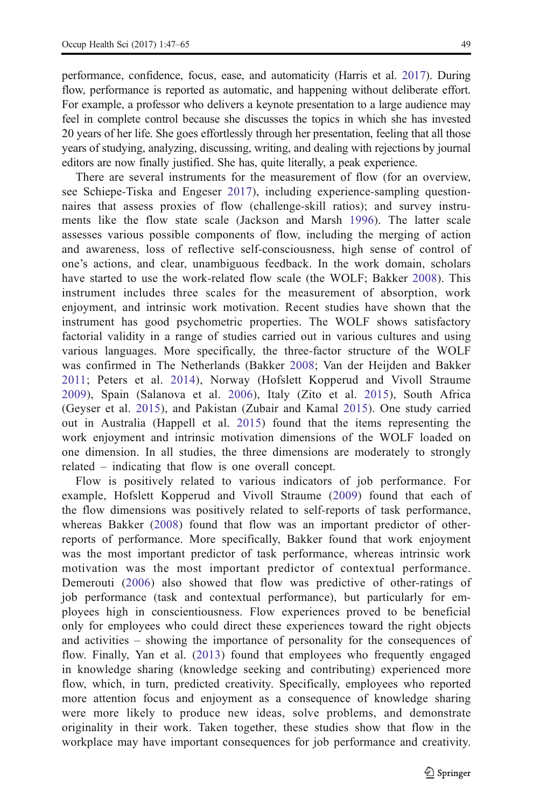performance, confidence, focus, ease, and automaticity (Harris et al. [2017](#page-16-0)). During flow, performance is reported as automatic, and happening without deliberate effort. For example, a professor who delivers a keynote presentation to a large audience may feel in complete control because she discusses the topics in which she has invested 20 years of her life. She goes effortlessly through her presentation, feeling that all those years of studying, analyzing, discussing, writing, and dealing with rejections by journal editors are now finally justified. She has, quite literally, a peak experience.

There are several instruments for the measurement of flow (for an overview, see Schiepe-Tiska and Engeser [2017\)](#page-17-0), including experience-sampling questionnaires that assess proxies of flow (challenge-skill ratios); and survey instruments like the flow state scale (Jackson and Marsh [1996\)](#page-16-0). The latter scale assesses various possible components of flow, including the merging of action and awareness, loss of reflective self-consciousness, high sense of control of one's actions, and clear, unambiguous feedback. In the work domain, scholars have started to use the work-related flow scale (the WOLF; Bakker [2008\)](#page-14-0). This instrument includes three scales for the measurement of absorption, work enjoyment, and intrinsic work motivation. Recent studies have shown that the instrument has good psychometric properties. The WOLF shows satisfactory factorial validity in a range of studies carried out in various cultures and using various languages. More specifically, the three-factor structure of the WOLF was confirmed in The Netherlands (Bakker [2008](#page-14-0); Van der Heijden and Bakker [2011](#page-18-0); Peters et al. [2014](#page-17-0)), Norway (Hofslett Kopperud and Vivoll Straume [2009](#page-16-0)), Spain (Salanova et al. [2006\)](#page-17-0), Italy (Zito et al. [2015\)](#page-18-0), South Africa (Geyser et al. [2015\)](#page-16-0), and Pakistan (Zubair and Kamal [2015\)](#page-18-0). One study carried out in Australia (Happell et al. [2015\)](#page-16-0) found that the items representing the work enjoyment and intrinsic motivation dimensions of the WOLF loaded on one dimension. In all studies, the three dimensions are moderately to strongly related – indicating that flow is one overall concept.

Flow is positively related to various indicators of job performance. For example, Hofslett Kopperud and Vivoll Straume ([2009](#page-16-0)) found that each of the flow dimensions was positively related to self-reports of task performance, whereas Bakker ([2008](#page-14-0)) found that flow was an important predictor of otherreports of performance. More specifically, Bakker found that work enjoyment was the most important predictor of task performance, whereas intrinsic work motivation was the most important predictor of contextual performance. Demerouti ([2006](#page-15-0)) also showed that flow was predictive of other-ratings of job performance (task and contextual performance), but particularly for employees high in conscientiousness. Flow experiences proved to be beneficial only for employees who could direct these experiences toward the right objects and activities – showing the importance of personality for the consequences of flow. Finally, Yan et al. ([2013](#page-18-0)) found that employees who frequently engaged in knowledge sharing (knowledge seeking and contributing) experienced more flow, which, in turn, predicted creativity. Specifically, employees who reported more attention focus and enjoyment as a consequence of knowledge sharing were more likely to produce new ideas, solve problems, and demonstrate originality in their work. Taken together, these studies show that flow in the workplace may have important consequences for job performance and creativity.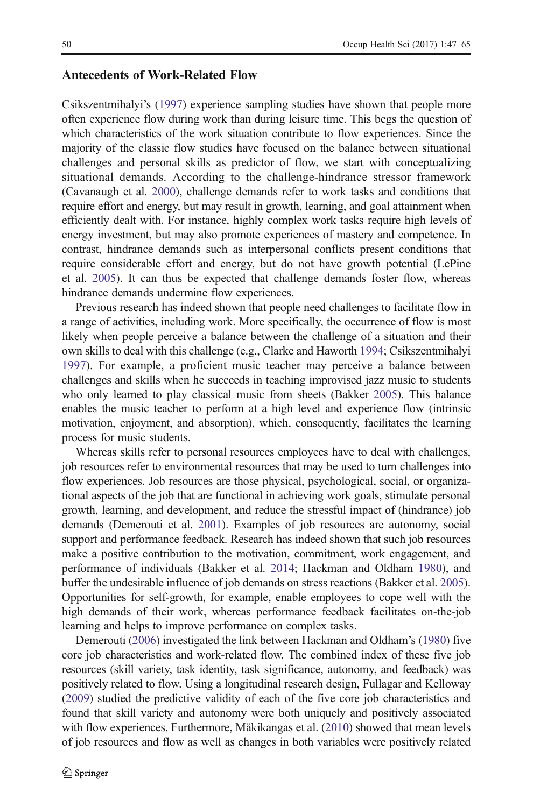### Antecedents of Work-Related Flow

Csikszentmihalyi's ([1997](#page-15-0)) experience sampling studies have shown that people more often experience flow during work than during leisure time. This begs the question of which characteristics of the work situation contribute to flow experiences. Since the majority of the classic flow studies have focused on the balance between situational challenges and personal skills as predictor of flow, we start with conceptualizing situational demands. According to the challenge-hindrance stressor framework (Cavanaugh et al. [2000\)](#page-15-0), challenge demands refer to work tasks and conditions that require effort and energy, but may result in growth, learning, and goal attainment when efficiently dealt with. For instance, highly complex work tasks require high levels of energy investment, but may also promote experiences of mastery and competence. In contrast, hindrance demands such as interpersonal conflicts present conditions that require considerable effort and energy, but do not have growth potential (LePine et al. [2005\)](#page-17-0). It can thus be expected that challenge demands foster flow, whereas hindrance demands undermine flow experiences.

Previous research has indeed shown that people need challenges to facilitate flow in a range of activities, including work. More specifically, the occurrence of flow is most likely when people perceive a balance between the challenge of a situation and their own skills to deal with this challenge (e.g., Clarke and Haworth [1994](#page-15-0); Csikszentmihalyi [1997\)](#page-15-0). For example, a proficient music teacher may perceive a balance between challenges and skills when he succeeds in teaching improvised jazz music to students who only learned to play classical music from sheets (Bakker [2005\)](#page-14-0). This balance enables the music teacher to perform at a high level and experience flow (intrinsic motivation, enjoyment, and absorption), which, consequently, facilitates the learning process for music students.

Whereas skills refer to personal resources employees have to deal with challenges, job resources refer to environmental resources that may be used to turn challenges into flow experiences. Job resources are those physical, psychological, social, or organizational aspects of the job that are functional in achieving work goals, stimulate personal growth, learning, and development, and reduce the stressful impact of (hindrance) job demands (Demerouti et al. [2001\)](#page-15-0). Examples of job resources are autonomy, social support and performance feedback. Research has indeed shown that such job resources make a positive contribution to the motivation, commitment, work engagement, and performance of individuals (Bakker et al. [2014;](#page-15-0) Hackman and Oldham [1980](#page-16-0)), and buffer the undesirable influence of job demands on stress reactions (Bakker et al. [2005\)](#page-15-0). Opportunities for self-growth, for example, enable employees to cope well with the high demands of their work, whereas performance feedback facilitates on-the-job learning and helps to improve performance on complex tasks.

Demerouti [\(2006\)](#page-15-0) investigated the link between Hackman and Oldham's [\(1980\)](#page-16-0) five core job characteristics and work-related flow. The combined index of these five job resources (skill variety, task identity, task significance, autonomy, and feedback) was positively related to flow. Using a longitudinal research design, Fullagar and Kelloway [\(2009\)](#page-16-0) studied the predictive validity of each of the five core job characteristics and found that skill variety and autonomy were both uniquely and positively associated with flow experiences. Furthermore, Mäkikangas et al. [\(2010\)](#page-17-0) showed that mean levels of job resources and flow as well as changes in both variables were positively related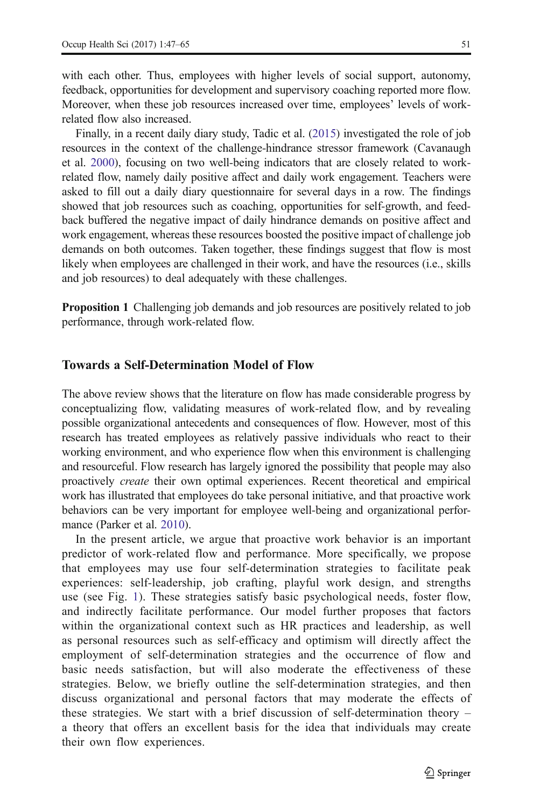with each other. Thus, employees with higher levels of social support, autonomy, feedback, opportunities for development and supervisory coaching reported more flow. Moreover, when these job resources increased over time, employees' levels of workrelated flow also increased.

Finally, in a recent daily diary study, Tadic et al. ([2015](#page-17-0)) investigated the role of job resources in the context of the challenge-hindrance stressor framework (Cavanaugh et al. [2000](#page-15-0)), focusing on two well-being indicators that are closely related to workrelated flow, namely daily positive affect and daily work engagement. Teachers were asked to fill out a daily diary questionnaire for several days in a row. The findings showed that job resources such as coaching, opportunities for self-growth, and feedback buffered the negative impact of daily hindrance demands on positive affect and work engagement, whereas these resources boosted the positive impact of challenge job demands on both outcomes. Taken together, these findings suggest that flow is most likely when employees are challenged in their work, and have the resources (i.e., skills and job resources) to deal adequately with these challenges.

Proposition 1 Challenging job demands and job resources are positively related to job performance, through work-related flow.

## Towards a Self-Determination Model of Flow

The above review shows that the literature on flow has made considerable progress by conceptualizing flow, validating measures of work-related flow, and by revealing possible organizational antecedents and consequences of flow. However, most of this research has treated employees as relatively passive individuals who react to their working environment, and who experience flow when this environment is challenging and resourceful. Flow research has largely ignored the possibility that people may also proactively create their own optimal experiences. Recent theoretical and empirical work has illustrated that employees do take personal initiative, and that proactive work behaviors can be very important for employee well-being and organizational performance (Parker et al. [2010](#page-17-0)).

In the present article, we argue that proactive work behavior is an important predictor of work-related flow and performance. More specifically, we propose that employees may use four self-determination strategies to facilitate peak experiences: self-leadership, job crafting, playful work design, and strengths use (see Fig. [1](#page-5-0)). These strategies satisfy basic psychological needs, foster flow, and indirectly facilitate performance. Our model further proposes that factors within the organizational context such as HR practices and leadership, as well as personal resources such as self-efficacy and optimism will directly affect the employment of self-determination strategies and the occurrence of flow and basic needs satisfaction, but will also moderate the effectiveness of these strategies. Below, we briefly outline the self-determination strategies, and then discuss organizational and personal factors that may moderate the effects of these strategies. We start with a brief discussion of self-determination theory – a theory that offers an excellent basis for the idea that individuals may create their own flow experiences.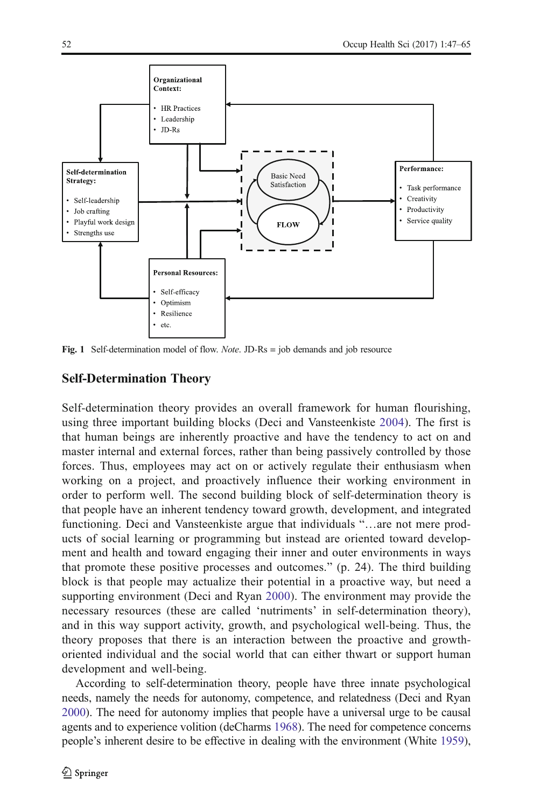<span id="page-5-0"></span>

Fig. 1 Self-determination model of flow. *Note*. JD-Rs = job demands and job resource

## Self-Determination Theory

Self-determination theory provides an overall framework for human flourishing, using three important building blocks (Deci and Vansteenkiste [2004\)](#page-18-0). The first is that human beings are inherently proactive and have the tendency to act on and master internal and external forces, rather than being passively controlled by those forces. Thus, employees may act on or actively regulate their enthusiasm when working on a project, and proactively influence their working environment in order to perform well. The second building block of self-determination theory is that people have an inherent tendency toward growth, development, and integrated functioning. Deci and Vansteenkiste argue that individuals "…are not mere products of social learning or programming but instead are oriented toward development and health and toward engaging their inner and outer environments in ways that promote these positive processes and outcomes." (p. 24). The third building block is that people may actualize their potential in a proactive way, but need a supporting environment (Deci and Ryan [2000\)](#page-15-0). The environment may provide the necessary resources (these are called 'nutriments' in self-determination theory), and in this way support activity, growth, and psychological well-being. Thus, the theory proposes that there is an interaction between the proactive and growthoriented individual and the social world that can either thwart or support human development and well-being.

According to self-determination theory, people have three innate psychological needs, namely the needs for autonomy, competence, and relatedness (Deci and Ryan [2000\)](#page-15-0). The need for autonomy implies that people have a universal urge to be causal agents and to experience volition (deCharms [1968\)](#page-15-0). The need for competence concerns people's inherent desire to be effective in dealing with the environment (White [1959\)](#page-18-0),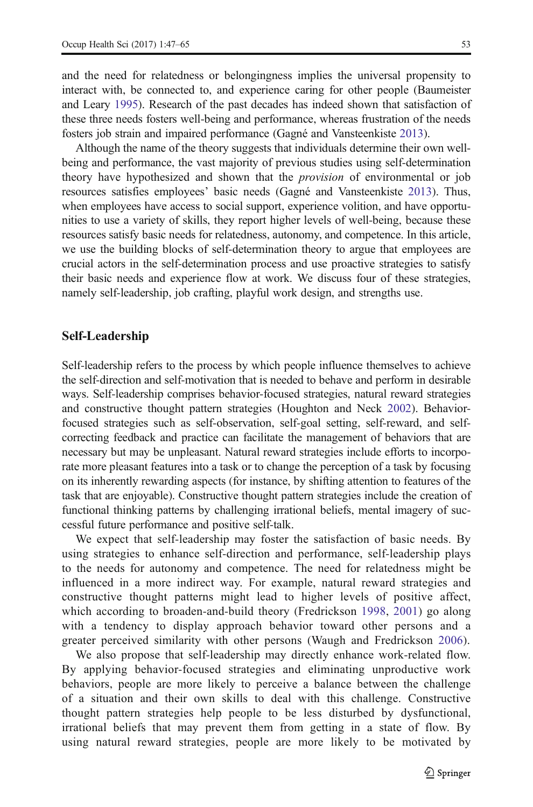and the need for relatedness or belongingness implies the universal propensity to interact with, be connected to, and experience caring for other people (Baumeister and Leary [1995\)](#page-15-0). Research of the past decades has indeed shown that satisfaction of these three needs fosters well-being and performance, whereas frustration of the needs fosters job strain and impaired performance (Gagné and Vansteenkiste [2013](#page-16-0)).

Although the name of the theory suggests that individuals determine their own wellbeing and performance, the vast majority of previous studies using self-determination theory have hypothesized and shown that the provision of environmental or job resources satisfies employees' basic needs (Gagné and Vansteenkiste [2013](#page-16-0)). Thus, when employees have access to social support, experience volition, and have opportunities to use a variety of skills, they report higher levels of well-being, because these resources satisfy basic needs for relatedness, autonomy, and competence. In this article, we use the building blocks of self-determination theory to argue that employees are crucial actors in the self-determination process and use proactive strategies to satisfy their basic needs and experience flow at work. We discuss four of these strategies, namely self-leadership, job crafting, playful work design, and strengths use.

## Self-Leadership

Self-leadership refers to the process by which people influence themselves to achieve the self-direction and self-motivation that is needed to behave and perform in desirable ways. Self-leadership comprises behavior-focused strategies, natural reward strategies and constructive thought pattern strategies (Houghton and Neck [2002](#page-16-0)). Behaviorfocused strategies such as self-observation, self-goal setting, self-reward, and selfcorrecting feedback and practice can facilitate the management of behaviors that are necessary but may be unpleasant. Natural reward strategies include efforts to incorporate more pleasant features into a task or to change the perception of a task by focusing on its inherently rewarding aspects (for instance, by shifting attention to features of the task that are enjoyable). Constructive thought pattern strategies include the creation of functional thinking patterns by challenging irrational beliefs, mental imagery of successful future performance and positive self-talk.

We expect that self-leadership may foster the satisfaction of basic needs. By using strategies to enhance self-direction and performance, self-leadership plays to the needs for autonomy and competence. The need for relatedness might be influenced in a more indirect way. For example, natural reward strategies and constructive thought patterns might lead to higher levels of positive affect, which according to broaden-and-build theory (Fredrickson [1998](#page-16-0), [2001](#page-16-0)) go along with a tendency to display approach behavior toward other persons and a greater perceived similarity with other persons (Waugh and Fredrickson [2006\)](#page-18-0).

We also propose that self-leadership may directly enhance work-related flow. By applying behavior-focused strategies and eliminating unproductive work behaviors, people are more likely to perceive a balance between the challenge of a situation and their own skills to deal with this challenge. Constructive thought pattern strategies help people to be less disturbed by dysfunctional, irrational beliefs that may prevent them from getting in a state of flow. By using natural reward strategies, people are more likely to be motivated by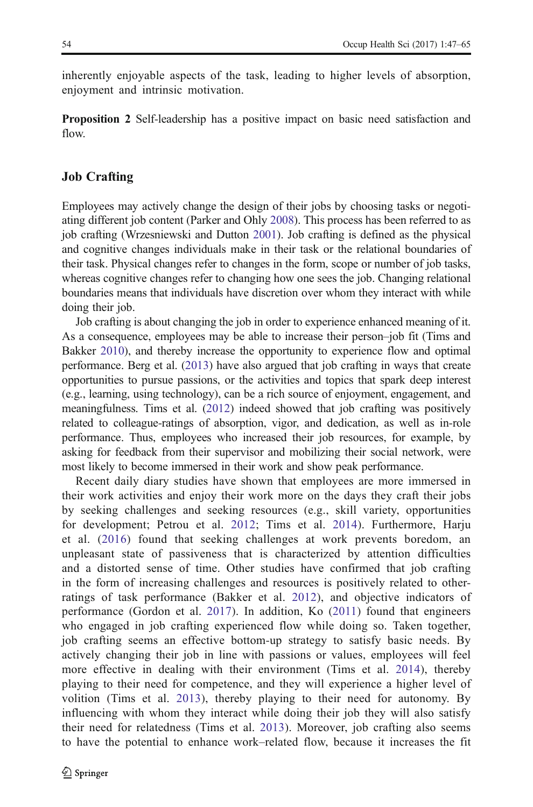inherently enjoyable aspects of the task, leading to higher levels of absorption, enjoyment and intrinsic motivation.

Proposition 2 Self-leadership has a positive impact on basic need satisfaction and flow.

### Job Crafting

Employees may actively change the design of their jobs by choosing tasks or negotiating different job content (Parker and Ohly [2008](#page-17-0)). This process has been referred to as job crafting (Wrzesniewski and Dutton [2001](#page-18-0)). Job crafting is defined as the physical and cognitive changes individuals make in their task or the relational boundaries of their task. Physical changes refer to changes in the form, scope or number of job tasks, whereas cognitive changes refer to changing how one sees the job. Changing relational boundaries means that individuals have discretion over whom they interact with while doing their job.

Job crafting is about changing the job in order to experience enhanced meaning of it. As a consequence, employees may be able to increase their person–job fit (Tims and Bakker [2010](#page-17-0)), and thereby increase the opportunity to experience flow and optimal performance. Berg et al. ([2013](#page-15-0)) have also argued that job crafting in ways that create opportunities to pursue passions, or the activities and topics that spark deep interest (e.g., learning, using technology), can be a rich source of enjoyment, engagement, and meaningfulness. Tims et al. [\(2012\)](#page-17-0) indeed showed that job crafting was positively related to colleague-ratings of absorption, vigor, and dedication, as well as in-role performance. Thus, employees who increased their job resources, for example, by asking for feedback from their supervisor and mobilizing their social network, were most likely to become immersed in their work and show peak performance.

Recent daily diary studies have shown that employees are more immersed in their work activities and enjoy their work more on the days they craft their jobs by seeking challenges and seeking resources (e.g., skill variety, opportunities for development; Petrou et al. [2012;](#page-17-0) Tims et al. [2014\)](#page-17-0). Furthermore, Harju et al. ([2016\)](#page-16-0) found that seeking challenges at work prevents boredom, an unpleasant state of passiveness that is characterized by attention difficulties and a distorted sense of time. Other studies have confirmed that job crafting in the form of increasing challenges and resources is positively related to otherratings of task performance (Bakker et al. [2012](#page-15-0)), and objective indicators of performance (Gordon et al. [2017](#page-16-0)). In addition, Ko [\(2011](#page-16-0)) found that engineers who engaged in job crafting experienced flow while doing so. Taken together, job crafting seems an effective bottom-up strategy to satisfy basic needs. By actively changing their job in line with passions or values, employees will feel more effective in dealing with their environment (Tims et al. [2014\)](#page-17-0), thereby playing to their need for competence, and they will experience a higher level of volition (Tims et al. [2013\)](#page-17-0), thereby playing to their need for autonomy. By influencing with whom they interact while doing their job they will also satisfy their need for relatedness (Tims et al. [2013\)](#page-17-0). Moreover, job crafting also seems to have the potential to enhance work–related flow, because it increases the fit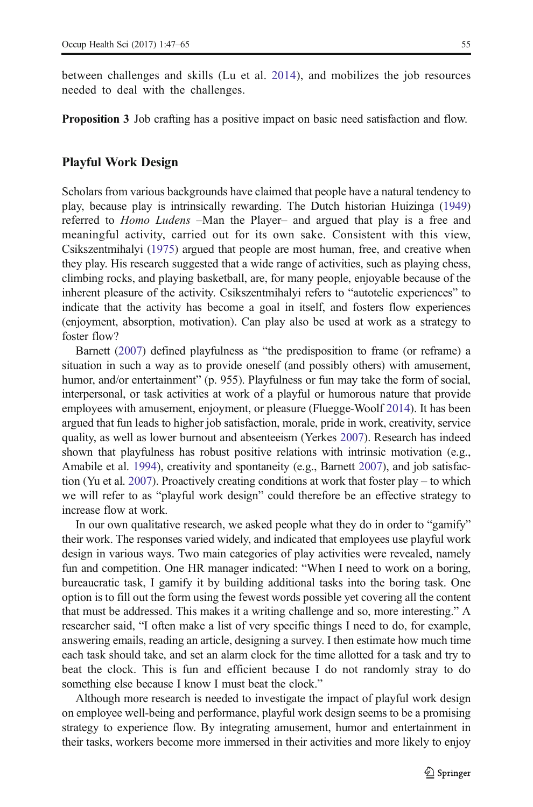between challenges and skills (Lu et al. [2014](#page-17-0)), and mobilizes the job resources needed to deal with the challenges.

Proposition 3 Job crafting has a positive impact on basic need satisfaction and flow.

#### Playful Work Design

Scholars from various backgrounds have claimed that people have a natural tendency to play, because play is intrinsically rewarding. The Dutch historian Huizinga ([1949](#page-16-0)) referred to Homo Ludens –Man the Player– and argued that play is a free and meaningful activity, carried out for its own sake. Consistent with this view, Csikszentmihalyi [\(1975\)](#page-15-0) argued that people are most human, free, and creative when they play. His research suggested that a wide range of activities, such as playing chess, climbing rocks, and playing basketball, are, for many people, enjoyable because of the inherent pleasure of the activity. Csikszentmihalyi refers to "autotelic experiences" to indicate that the activity has become a goal in itself, and fosters flow experiences (enjoyment, absorption, motivation). Can play also be used at work as a strategy to foster flow?

Barnett ([2007](#page-15-0)) defined playfulness as "the predisposition to frame (or reframe) a situation in such a way as to provide oneself (and possibly others) with amusement, humor, and/or entertainment" (p. 955). Playfulness or fun may take the form of social, interpersonal, or task activities at work of a playful or humorous nature that provide employees with amusement, enjoyment, or pleasure (Fluegge-Woolf [2014](#page-15-0)). It has been argued that fun leads to higher job satisfaction, morale, pride in work, creativity, service quality, as well as lower burnout and absenteeism (Yerkes [2007](#page-18-0)). Research has indeed shown that playfulness has robust positive relations with intrinsic motivation (e.g., Amabile et al. [1994](#page-14-0)), creativity and spontaneity (e.g., Barnett [2007](#page-15-0)), and job satisfaction (Yu et al. [2007](#page-18-0)). Proactively creating conditions at work that foster play – to which we will refer to as "playful work design" could therefore be an effective strategy to increase flow at work.

In our own qualitative research, we asked people what they do in order to "gamify" their work. The responses varied widely, and indicated that employees use playful work design in various ways. Two main categories of play activities were revealed, namely fun and competition. One HR manager indicated: "When I need to work on a boring, bureaucratic task, I gamify it by building additional tasks into the boring task. One option is to fill out the form using the fewest words possible yet covering all the content that must be addressed. This makes it a writing challenge and so, more interesting." A researcher said, "I often make a list of very specific things I need to do, for example, answering emails, reading an article, designing a survey. I then estimate how much time each task should take, and set an alarm clock for the time allotted for a task and try to beat the clock. This is fun and efficient because I do not randomly stray to do something else because I know I must beat the clock."

Although more research is needed to investigate the impact of playful work design on employee well-being and performance, playful work design seems to be a promising strategy to experience flow. By integrating amusement, humor and entertainment in their tasks, workers become more immersed in their activities and more likely to enjoy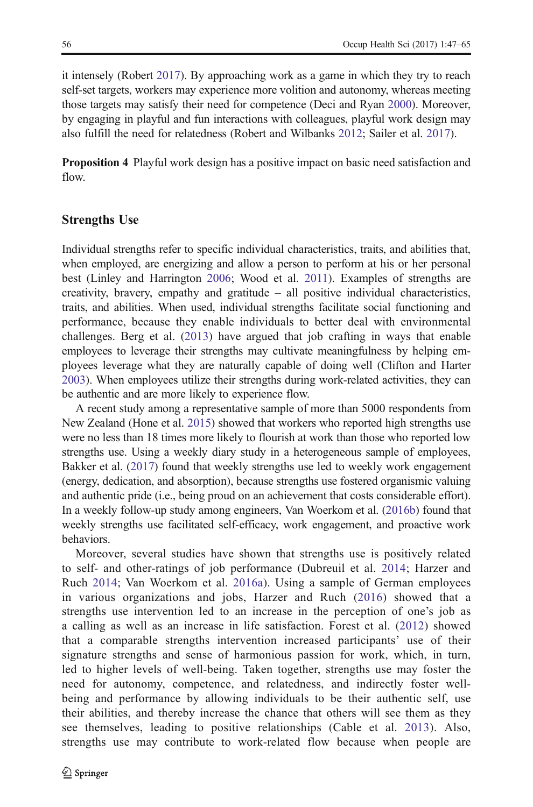it intensely (Robert [2017\)](#page-17-0). By approaching work as a game in which they try to reach self-set targets, workers may experience more volition and autonomy, whereas meeting those targets may satisfy their need for competence (Deci and Ryan [2000](#page-15-0)). Moreover, by engaging in playful and fun interactions with colleagues, playful work design may also fulfill the need for relatedness (Robert and Wilbanks [2012;](#page-17-0) Sailer et al. [2017](#page-17-0)).

Proposition 4 Playful work design has a positive impact on basic need satisfaction and flow.

#### Strengths Use

Individual strengths refer to specific individual characteristics, traits, and abilities that, when employed, are energizing and allow a person to perform at his or her personal best (Linley and Harrington [2006;](#page-17-0) Wood et al. [2011\)](#page-18-0). Examples of strengths are creativity, bravery, empathy and gratitude – all positive individual characteristics, traits, and abilities. When used, individual strengths facilitate social functioning and performance, because they enable individuals to better deal with environmental challenges. Berg et al. [\(2013](#page-15-0)) have argued that job crafting in ways that enable employees to leverage their strengths may cultivate meaningfulness by helping employees leverage what they are naturally capable of doing well (Clifton and Harter [2003\)](#page-15-0). When employees utilize their strengths during work-related activities, they can be authentic and are more likely to experience flow.

A recent study among a representative sample of more than 5000 respondents from New Zealand (Hone et al. [2015](#page-16-0)) showed that workers who reported high strengths use were no less than 18 times more likely to flourish at work than those who reported low strengths use. Using a weekly diary study in a heterogeneous sample of employees, Bakker et al. ([2017](#page-15-0)) found that weekly strengths use led to weekly work engagement (energy, dedication, and absorption), because strengths use fostered organismic valuing and authentic pride (i.e., being proud on an achievement that costs considerable effort). In a weekly follow-up study among engineers, Van Woerkom et al. [\(2016b\)](#page-18-0) found that weekly strengths use facilitated self-efficacy, work engagement, and proactive work behaviors.

Moreover, several studies have shown that strengths use is positively related to self- and other-ratings of job performance (Dubreuil et al. [2014](#page-15-0); Harzer and Ruch [2014;](#page-16-0) Van Woerkom et al. [2016a](#page-18-0)). Using a sample of German employees in various organizations and jobs, Harzer and Ruch ([2016\)](#page-16-0) showed that a strengths use intervention led to an increase in the perception of one's job as a calling as well as an increase in life satisfaction. Forest et al. ([2012\)](#page-15-0) showed that a comparable strengths intervention increased participants' use of their signature strengths and sense of harmonious passion for work, which, in turn, led to higher levels of well-being. Taken together, strengths use may foster the need for autonomy, competence, and relatedness, and indirectly foster wellbeing and performance by allowing individuals to be their authentic self, use their abilities, and thereby increase the chance that others will see them as they see themselves, leading to positive relationships (Cable et al. [2013\)](#page-15-0). Also, strengths use may contribute to work-related flow because when people are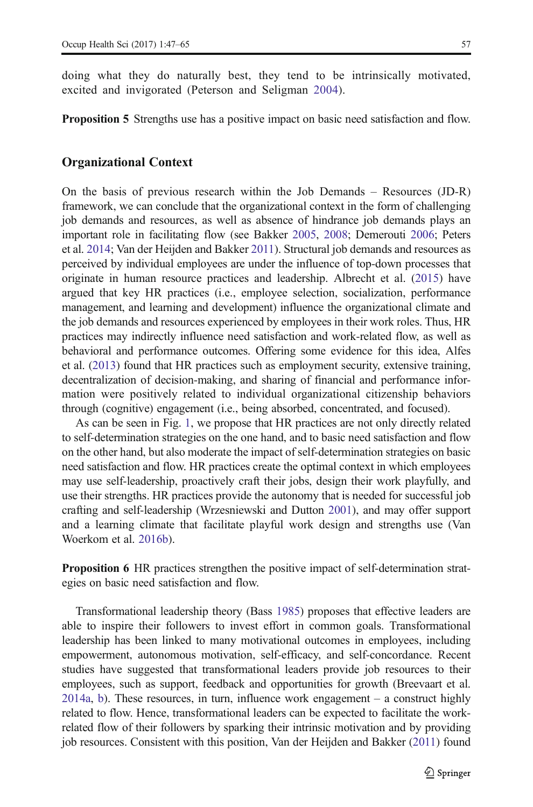doing what they do naturally best, they tend to be intrinsically motivated, excited and invigorated (Peterson and Seligman [2004](#page-17-0)).

Proposition 5 Strengths use has a positive impact on basic need satisfaction and flow.

#### Organizational Context

On the basis of previous research within the Job Demands – Resources (JD-R) framework, we can conclude that the organizational context in the form of challenging job demands and resources, as well as absence of hindrance job demands plays an important role in facilitating flow (see Bakker [2005,](#page-14-0) [2008;](#page-14-0) Demerouti [2006](#page-15-0); Peters et al. [2014](#page-17-0); Van der Heijden and Bakker [2011](#page-18-0)). Structural job demands and resources as perceived by individual employees are under the influence of top-down processes that originate in human resource practices and leadership. Albrecht et al. [\(2015](#page-14-0)) have argued that key HR practices (i.e., employee selection, socialization, performance management, and learning and development) influence the organizational climate and the job demands and resources experienced by employees in their work roles. Thus, HR practices may indirectly influence need satisfaction and work-related flow, as well as behavioral and performance outcomes. Offering some evidence for this idea, Alfes et al. [\(2013\)](#page-14-0) found that HR practices such as employment security, extensive training, decentralization of decision-making, and sharing of financial and performance information were positively related to individual organizational citizenship behaviors through (cognitive) engagement (i.e., being absorbed, concentrated, and focused).

As can be seen in Fig. [1](#page-5-0), we propose that HR practices are not only directly related to self-determination strategies on the one hand, and to basic need satisfaction and flow on the other hand, but also moderate the impact of self-determination strategies on basic need satisfaction and flow. HR practices create the optimal context in which employees may use self-leadership, proactively craft their jobs, design their work playfully, and use their strengths. HR practices provide the autonomy that is needed for successful job crafting and self-leadership (Wrzesniewski and Dutton [2001](#page-18-0)), and may offer support and a learning climate that facilitate playful work design and strengths use (Van Woerkom et al. [2016b\)](#page-18-0).

Proposition 6 HR practices strengthen the positive impact of self-determination strategies on basic need satisfaction and flow.

Transformational leadership theory (Bass [1985](#page-15-0)) proposes that effective leaders are able to inspire their followers to invest effort in common goals. Transformational leadership has been linked to many motivational outcomes in employees, including empowerment, autonomous motivation, self-efficacy, and self-concordance. Recent studies have suggested that transformational leaders provide job resources to their employees, such as support, feedback and opportunities for growth (Breevaart et al. [2014a,](#page-15-0) [b\)](#page-15-0). These resources, in turn, influence work engagement – a construct highly related to flow. Hence, transformational leaders can be expected to facilitate the workrelated flow of their followers by sparking their intrinsic motivation and by providing job resources. Consistent with this position, Van der Heijden and Bakker [\(2011\)](#page-18-0) found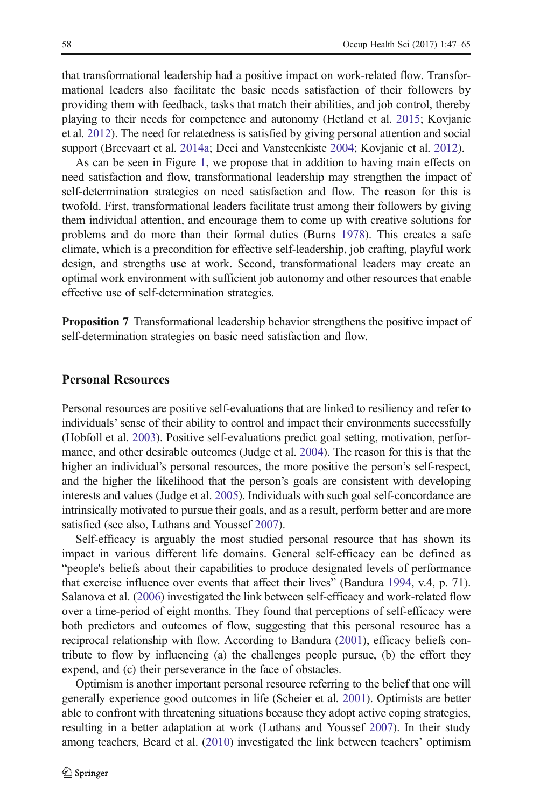that transformational leadership had a positive impact on work-related flow. Transformational leaders also facilitate the basic needs satisfaction of their followers by providing them with feedback, tasks that match their abilities, and job control, thereby playing to their needs for competence and autonomy (Hetland et al. [2015;](#page-16-0) Kovjanic et al. [2012\)](#page-16-0). The need for relatedness is satisfied by giving personal attention and social support (Breevaart et al. [2014a](#page-15-0); Deci and Vansteenkiste [2004;](#page-18-0) Kovjanic et al. [2012\)](#page-16-0).

As can be seen in Figure [1,](#page-5-0) we propose that in addition to having main effects on need satisfaction and flow, transformational leadership may strengthen the impact of self-determination strategies on need satisfaction and flow. The reason for this is twofold. First, transformational leaders facilitate trust among their followers by giving them individual attention, and encourage them to come up with creative solutions for problems and do more than their formal duties (Burns [1978\)](#page-15-0). This creates a safe climate, which is a precondition for effective self-leadership, job crafting, playful work design, and strengths use at work. Second, transformational leaders may create an optimal work environment with sufficient job autonomy and other resources that enable effective use of self-determination strategies.

Proposition 7 Transformational leadership behavior strengthens the positive impact of self-determination strategies on basic need satisfaction and flow.

#### Personal Resources

Personal resources are positive self-evaluations that are linked to resiliency and refer to individuals' sense of their ability to control and impact their environments successfully (Hobfoll et al. [2003\)](#page-16-0). Positive self-evaluations predict goal setting, motivation, performance, and other desirable outcomes (Judge et al. [2004\)](#page-16-0). The reason for this is that the higher an individual's personal resources, the more positive the person's self-respect, and the higher the likelihood that the person's goals are consistent with developing interests and values (Judge et al. [2005\)](#page-16-0). Individuals with such goal self-concordance are intrinsically motivated to pursue their goals, and as a result, perform better and are more satisfied (see also, Luthans and Youssef [2007\)](#page-17-0).

Self-efficacy is arguably the most studied personal resource that has shown its impact in various different life domains. General self-efficacy can be defined as "people's beliefs about their capabilities to produce designated levels of performance that exercise influence over events that affect their lives" (Bandura [1994](#page-15-0), v.4, p. 71). Salanova et al. ([2006](#page-17-0)) investigated the link between self-efficacy and work-related flow over a time-period of eight months. They found that perceptions of self-efficacy were both predictors and outcomes of flow, suggesting that this personal resource has a reciprocal relationship with flow. According to Bandura ([2001](#page-15-0)), efficacy beliefs contribute to flow by influencing (a) the challenges people pursue, (b) the effort they expend, and (c) their perseverance in the face of obstacles.

Optimism is another important personal resource referring to the belief that one will generally experience good outcomes in life (Scheier et al. [2001](#page-17-0)). Optimists are better able to confront with threatening situations because they adopt active coping strategies, resulting in a better adaptation at work (Luthans and Youssef [2007](#page-17-0)). In their study among teachers, Beard et al. ([2010](#page-15-0)) investigated the link between teachers' optimism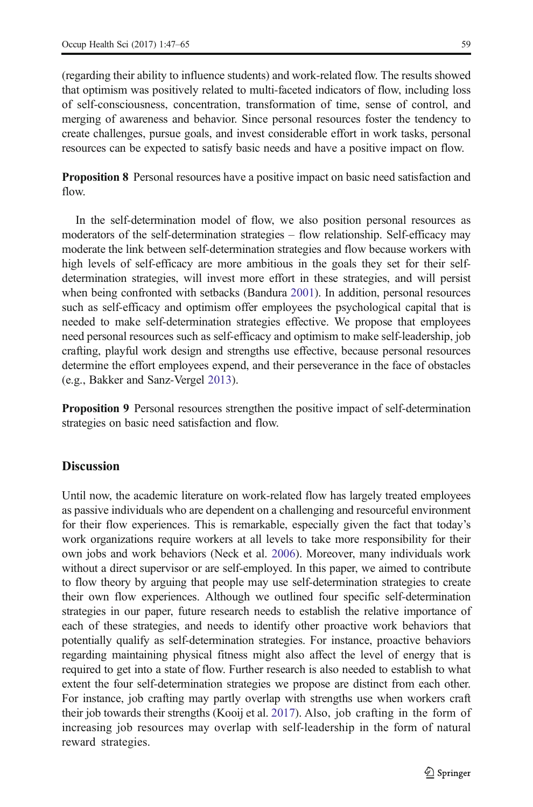(regarding their ability to influence students) and work-related flow. The results showed that optimism was positively related to multi-faceted indicators of flow, including loss of self-consciousness, concentration, transformation of time, sense of control, and merging of awareness and behavior. Since personal resources foster the tendency to create challenges, pursue goals, and invest considerable effort in work tasks, personal resources can be expected to satisfy basic needs and have a positive impact on flow.

Proposition 8 Personal resources have a positive impact on basic need satisfaction and flow.

In the self-determination model of flow, we also position personal resources as moderators of the self-determination strategies – flow relationship. Self-efficacy may moderate the link between self-determination strategies and flow because workers with high levels of self-efficacy are more ambitious in the goals they set for their selfdetermination strategies, will invest more effort in these strategies, and will persist when being confronted with setbacks (Bandura [2001](#page-15-0)). In addition, personal resources such as self-efficacy and optimism offer employees the psychological capital that is needed to make self-determination strategies effective. We propose that employees need personal resources such as self-efficacy and optimism to make self-leadership, job crafting, playful work design and strengths use effective, because personal resources determine the effort employees expend, and their perseverance in the face of obstacles (e.g., Bakker and Sanz-Vergel [2013](#page-15-0)).

Proposition 9 Personal resources strengthen the positive impact of self-determination strategies on basic need satisfaction and flow.

## **Discussion**

Until now, the academic literature on work-related flow has largely treated employees as passive individuals who are dependent on a challenging and resourceful environment for their flow experiences. This is remarkable, especially given the fact that today's work organizations require workers at all levels to take more responsibility for their own jobs and work behaviors (Neck et al. [2006\)](#page-17-0). Moreover, many individuals work without a direct supervisor or are self-employed. In this paper, we aimed to contribute to flow theory by arguing that people may use self-determination strategies to create their own flow experiences. Although we outlined four specific self-determination strategies in our paper, future research needs to establish the relative importance of each of these strategies, and needs to identify other proactive work behaviors that potentially qualify as self-determination strategies. For instance, proactive behaviors regarding maintaining physical fitness might also affect the level of energy that is required to get into a state of flow. Further research is also needed to establish to what extent the four self-determination strategies we propose are distinct from each other. For instance, job crafting may partly overlap with strengths use when workers craft their job towards their strengths (Kooij et al. [2017](#page-16-0)). Also, job crafting in the form of increasing job resources may overlap with self-leadership in the form of natural reward strategies.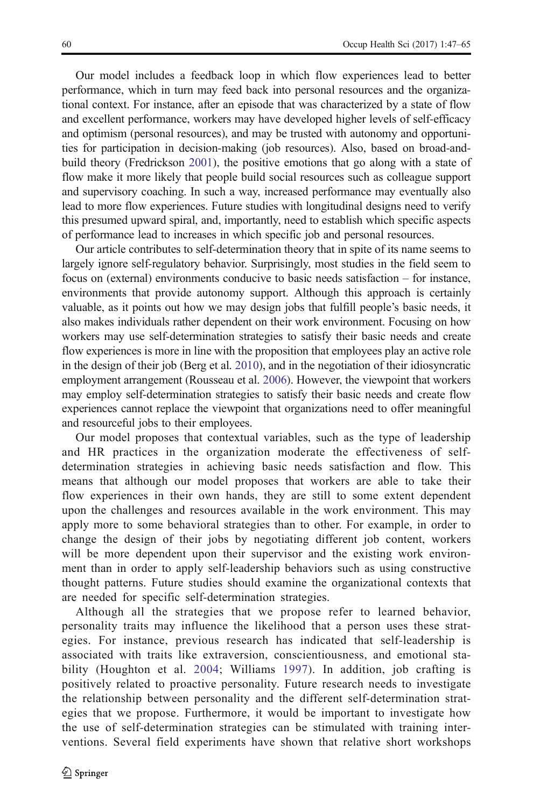Our model includes a feedback loop in which flow experiences lead to better performance, which in turn may feed back into personal resources and the organizational context. For instance, after an episode that was characterized by a state of flow and excellent performance, workers may have developed higher levels of self-efficacy and optimism (personal resources), and may be trusted with autonomy and opportunities for participation in decision-making (job resources). Also, based on broad-andbuild theory (Fredrickson [2001](#page-16-0)), the positive emotions that go along with a state of flow make it more likely that people build social resources such as colleague support and supervisory coaching. In such a way, increased performance may eventually also lead to more flow experiences. Future studies with longitudinal designs need to verify this presumed upward spiral, and, importantly, need to establish which specific aspects of performance lead to increases in which specific job and personal resources.

Our article contributes to self-determination theory that in spite of its name seems to largely ignore self-regulatory behavior. Surprisingly, most studies in the field seem to focus on (external) environments conducive to basic needs satisfaction – for instance, environments that provide autonomy support. Although this approach is certainly valuable, as it points out how we may design jobs that fulfill people's basic needs, it also makes individuals rather dependent on their work environment. Focusing on how workers may use self-determination strategies to satisfy their basic needs and create flow experiences is more in line with the proposition that employees play an active role in the design of their job (Berg et al. [2010](#page-15-0)), and in the negotiation of their idiosyncratic employment arrangement (Rousseau et al. [2006](#page-17-0)). However, the viewpoint that workers may employ self-determination strategies to satisfy their basic needs and create flow experiences cannot replace the viewpoint that organizations need to offer meaningful and resourceful jobs to their employees.

Our model proposes that contextual variables, such as the type of leadership and HR practices in the organization moderate the effectiveness of selfdetermination strategies in achieving basic needs satisfaction and flow. This means that although our model proposes that workers are able to take their flow experiences in their own hands, they are still to some extent dependent upon the challenges and resources available in the work environment. This may apply more to some behavioral strategies than to other. For example, in order to change the design of their jobs by negotiating different job content, workers will be more dependent upon their supervisor and the existing work environment than in order to apply self-leadership behaviors such as using constructive thought patterns. Future studies should examine the organizational contexts that are needed for specific self-determination strategies.

Although all the strategies that we propose refer to learned behavior, personality traits may influence the likelihood that a person uses these strategies. For instance, previous research has indicated that self-leadership is associated with traits like extraversion, conscientiousness, and emotional stability (Houghton et al. [2004;](#page-16-0) Williams [1997](#page-18-0)). In addition, job crafting is positively related to proactive personality. Future research needs to investigate the relationship between personality and the different self-determination strategies that we propose. Furthermore, it would be important to investigate how the use of self-determination strategies can be stimulated with training interventions. Several field experiments have shown that relative short workshops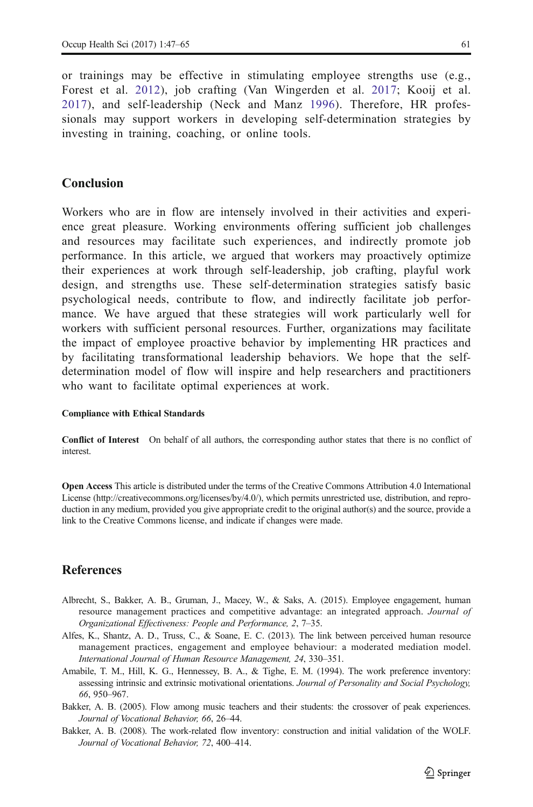<span id="page-14-0"></span>or trainings may be effective in stimulating employee strengths use (e.g., Forest et al. [2012](#page-15-0)), job crafting (Van Wingerden et al. [2017](#page-18-0); Kooij et al. [2017](#page-16-0)), and self-leadership (Neck and Manz [1996](#page-17-0)). Therefore, HR professionals may support workers in developing self-determination strategies by investing in training, coaching, or online tools.

## Conclusion

Workers who are in flow are intensely involved in their activities and experience great pleasure. Working environments offering sufficient job challenges and resources may facilitate such experiences, and indirectly promote job performance. In this article, we argued that workers may proactively optimize their experiences at work through self-leadership, job crafting, playful work design, and strengths use. These self-determination strategies satisfy basic psychological needs, contribute to flow, and indirectly facilitate job performance. We have argued that these strategies will work particularly well for workers with sufficient personal resources. Further, organizations may facilitate the impact of employee proactive behavior by implementing HR practices and by facilitating transformational leadership behaviors. We hope that the selfdetermination model of flow will inspire and help researchers and practitioners who want to facilitate optimal experiences at work.

#### Compliance with Ethical Standards

Conflict of Interest On behalf of all authors, the corresponding author states that there is no conflict of interest.

Open Access This article is distributed under the terms of the Creative Commons Attribution 4.0 International License (http://creativecommons.org/licenses/by/4.0/), which permits unrestricted use, distribution, and reproduction in any medium, provided you give appropriate credit to the original author(s) and the source, provide a link to the Creative Commons license, and indicate if changes were made.

## **References**

- Albrecht, S., Bakker, A. B., Gruman, J., Macey, W., & Saks, A. (2015). Employee engagement, human resource management practices and competitive advantage: an integrated approach. Journal of Organizational Effectiveness: People and Performance, 2, 7–35.
- Alfes, K., Shantz, A. D., Truss, C., & Soane, E. C. (2013). The link between perceived human resource management practices, engagement and employee behaviour: a moderated mediation model. International Journal of Human Resource Management, 24, 330–351.
- Amabile, T. M., Hill, K. G., Hennessey, B. A., & Tighe, E. M. (1994). The work preference inventory: assessing intrinsic and extrinsic motivational orientations. Journal of Personality and Social Psychology, 66, 950–967.
- Bakker, A. B. (2005). Flow among music teachers and their students: the crossover of peak experiences. Journal of Vocational Behavior, 66, 26–44.
- Bakker, A. B. (2008). The work-related flow inventory: construction and initial validation of the WOLF. Journal of Vocational Behavior, 72, 400–414.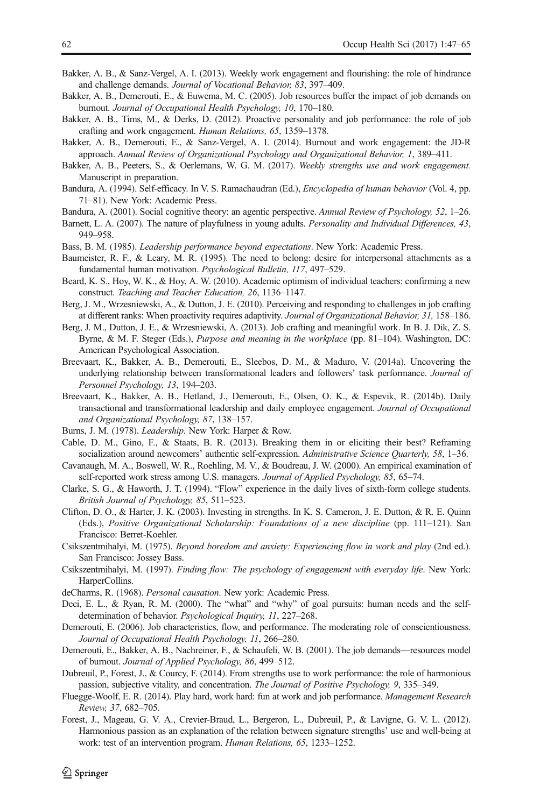- <span id="page-15-0"></span>Bakker, A. B., & Sanz-Vergel, A. I. (2013). Weekly work engagement and flourishing: the role of hindrance and challenge demands. Journal of Vocational Behavior, 83, 397–409.
- Bakker, A. B., Demerouti, E., & Euwema, M. C. (2005). Job resources buffer the impact of job demands on burnout. Journal of Occupational Health Psychology, 10, 170–180.
- Bakker, A. B., Tims, M., & Derks, D. (2012). Proactive personality and job performance: the role of job crafting and work engagement. Human Relations, 65, 1359–1378.
- Bakker, A. B., Demerouti, E., & Sanz-Vergel, A. I. (2014). Burnout and work engagement: the JD-R approach. Annual Review of Organizational Psychology and Organizational Behavior, 1, 389–411.
- Bakker, A. B., Peeters, S., & Oerlemans, W. G. M. (2017). Weekly strengths use and work engagement. Manuscript in preparation.
- Bandura, A. (1994). Self-efficacy. In V. S. Ramachaudran (Ed.), Encyclopedia of human behavior (Vol. 4, pp. 71–81). New York: Academic Press.
- Bandura, A. (2001). Social cognitive theory: an agentic perspective. Annual Review of Psychology, 52, 1–26.
- Barnett, L. A. (2007). The nature of playfulness in young adults. Personality and Individual Differences, 43, 949–958.
- Bass, B. M. (1985). Leadership performance beyond expectations. New York: Academic Press.
- Baumeister, R. F., & Leary, M. R. (1995). The need to belong: desire for interpersonal attachments as a fundamental human motivation. Psychological Bulletin, 117, 497–529.
- Beard, K. S., Hoy, W. K., & Hoy, A. W. (2010). Academic optimism of individual teachers: confirming a new construct. Teaching and Teacher Education, 26, 1136–1147.
- Berg, J. M., Wrzesniewski, A., & Dutton, J. E. (2010). Perceiving and responding to challenges in job crafting at different ranks: When proactivity requires adaptivity. Journal of Organizational Behavior, 31, 158–186.
- Berg, J. M., Dutton, J. E., & Wrzesniewski, A. (2013). Job crafting and meaningful work. In B. J. Dik, Z. S. Byrne, & M. F. Steger (Eds.), Purpose and meaning in the workplace (pp. 81–104). Washington, DC: American Psychological Association.
- Breevaart, K., Bakker, A. B., Demerouti, E., Sleebos, D. M., & Maduro, V. (2014a). Uncovering the underlying relationship between transformational leaders and followers' task performance. Journal of Personnel Psychology, 13, 194–203.
- Breevaart, K., Bakker, A. B., Hetland, J., Demerouti, E., Olsen, O. K., & Espevik, R. (2014b). Daily transactional and transformational leadership and daily employee engagement. Journal of Occupational and Organizational Psychology, 87, 138–157.
- Burns, J. M. (1978). Leadership. New York: Harper & Row.
- Cable, D. M., Gino, F., & Staats, B. R. (2013). Breaking them in or eliciting their best? Reframing socialization around newcomers' authentic self-expression. Administrative Science Quarterly, 58, 1–36.
- Cavanaugh, M. A., Boswell, W. R., Roehling, M. V., & Boudreau, J. W. (2000). An empirical examination of self-reported work stress among U.S. managers. Journal of Applied Psychology, 85, 65–74.
- Clarke, S. G., & Haworth, J. T. (1994). "Flow" experience in the daily lives of sixth-form college students. British Journal of Psychology, 85, 511–523.
- Clifton, D. O., & Harter, J. K. (2003). Investing in strengths. In K. S. Cameron, J. E. Dutton, & R. E. Quinn (Eds.), Positive Organizational Scholarship: Foundations of a new discipline (pp. 111–121). San Francisco: Berret-Koehler.
- Csikszentmihalyi, M. (1975). Beyond boredom and anxiety: Experiencing flow in work and play (2nd ed.). San Francisco: Jossey Bass.
- Csikszentmihalyi, M. (1997). Finding flow: The psychology of engagement with everyday life. New York: HarperCollins.
- deCharms, R. (1968). Personal causation. New york: Academic Press.
- Deci, E. L., & Ryan, R. M. (2000). The "what" and "why" of goal pursuits: human needs and the selfdetermination of behavior. Psychological Inquiry, 11, 227–268.
- Demerouti, E. (2006). Job characteristics, flow, and performance. The moderating role of conscientiousness. Journal of Occupational Health Psychology, 11, 266–280.
- Demerouti, E., Bakker, A. B., Nachreiner, F., & Schaufeli, W. B. (2001). The job demands—resources model of burnout. Journal of Applied Psychology, 86, 499–512.
- Dubreuil, P., Forest, J., & Courcy, F. (2014). From strengths use to work performance: the role of harmonious passion, subjective vitality, and concentration. The Journal of Positive Psychology, 9, 335–349.
- Fluegge-Woolf, E. R. (2014). Play hard, work hard: fun at work and job performance. Management Research Review, 37, 682–705.
- Forest, J., Mageau, G. V. A., Crevier-Braud, L., Bergeron, L., Dubreuil, P., & Lavigne, G. V. L. (2012). Harmonious passion as an explanation of the relation between signature strengths' use and well-being at work: test of an intervention program. Human Relations, 65, 1233–1252.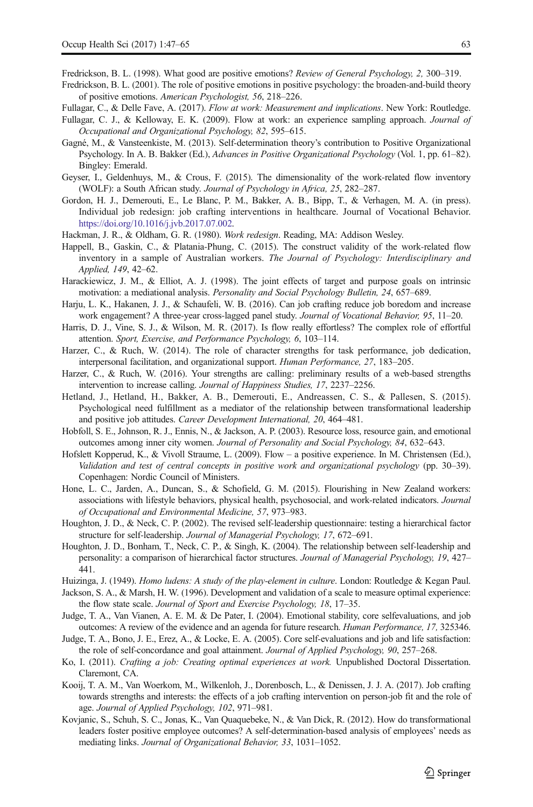- <span id="page-16-0"></span>Fredrickson, B. L. (1998). What good are positive emotions? Review of General Psychology, 2, 300–319.
- Fredrickson, B. L. (2001). The role of positive emotions in positive psychology: the broaden-and-build theory of positive emotions. American Psychologist, 56, 218–226.
- Fullagar, C., & Delle Fave, A. (2017). Flow at work: Measurement and implications. New York: Routledge.
- Fullagar, C. J., & Kelloway, E. K. (2009). Flow at work: an experience sampling approach. Journal of Occupational and Organizational Psychology, 82, 595–615.
- Gagné, M., & Vansteenkiste, M. (2013). Self-determination theory's contribution to Positive Organizational Psychology. In A. B. Bakker (Ed.), Advances in Positive Organizational Psychology (Vol. 1, pp. 61–82). Bingley: Emerald.
- Geyser, I., Geldenhuys, M., & Crous, F. (2015). The dimensionality of the work-related flow inventory (WOLF): a South African study. Journal of Psychology in Africa, 25, 282–287.
- Gordon, H. J., Demerouti, E., Le Blanc, P. M., Bakker, A. B., Bipp, T., & Verhagen, M. A. (in press). Individual job redesign: job crafting interventions in healthcare. Journal of Vocational Behavior. <https://doi.org/10.1016/j.jvb.2017.07.002>.
- Hackman, J. R., & Oldham, G. R. (1980). Work redesign. Reading, MA: Addison Wesley.
- Happell, B., Gaskin, C., & Platania-Phung, C. (2015). The construct validity of the work-related flow inventory in a sample of Australian workers. The Journal of Psychology: Interdisciplinary and Applied, 149, 42–62.
- Harackiewicz, J. M., & Elliot, A. J. (1998). The joint effects of target and purpose goals on intrinsic motivation: a mediational analysis. Personality and Social Psychology Bulletin, 24, 657–689.
- Harju, L. K., Hakanen, J. J., & Schaufeli, W. B. (2016). Can job crafting reduce job boredom and increase work engagement? A three-year cross-lagged panel study. Journal of Vocational Behavior, 95, 11–20.
- Harris, D. J., Vine, S. J., & Wilson, M. R. (2017). Is flow really effortless? The complex role of effortful attention. Sport, Exercise, and Performance Psychology, 6, 103–114.
- Harzer, C., & Ruch, W. (2014). The role of character strengths for task performance, job dedication, interpersonal facilitation, and organizational support. Human Performance, 27, 183–205.
- Harzer, C., & Ruch, W. (2016). Your strengths are calling: preliminary results of a web-based strengths intervention to increase calling. Journal of Happiness Studies, 17, 2237–2256.
- Hetland, J., Hetland, H., Bakker, A. B., Demerouti, E., Andreassen, C. S., & Pallesen, S. (2015). Psychological need fulfillment as a mediator of the relationship between transformational leadership and positive job attitudes. Career Development International, 20, 464–481.
- Hobfoll, S. E., Johnson, R. J., Ennis, N., & Jackson, A. P. (2003). Resource loss, resource gain, and emotional outcomes among inner city women. Journal of Personality and Social Psychology, 84, 632–643.
- Hofslett Kopperud, K., & Vivoll Straume, L. (2009). Flow a positive experience. In M. Christensen (Ed.), Validation and test of central concepts in positive work and organizational psychology (pp. 30–39). Copenhagen: Nordic Council of Ministers.
- Hone, L. C., Jarden, A., Duncan, S., & Schofield, G. M. (2015). Flourishing in New Zealand workers: associations with lifestyle behaviors, physical health, psychosocial, and work-related indicators. Journal of Occupational and Environmental Medicine, 57, 973–983.
- Houghton, J. D., & Neck, C. P. (2002). The revised self-leadership questionnaire: testing a hierarchical factor structure for self-leadership. Journal of Managerial Psychology, 17, 672–691.
- Houghton, J. D., Bonham, T., Neck, C. P., & Singh, K. (2004). The relationship between self-leadership and personality: a comparison of hierarchical factor structures. Journal of Managerial Psychology, 19, 427– 441.
- Huizinga, J. (1949). Homo ludens: A study of the play-element in culture. London: Routledge & Kegan Paul.
- Jackson, S. A., & Marsh, H. W. (1996). Development and validation of a scale to measure optimal experience: the flow state scale. Journal of Sport and Exercise Psychology, 18, 17–35.
- Judge, T. A., Van Vianen, A. E. M. & De Pater, I. (2004). Emotional stability, core selfevaluations, and job outcomes: A review of the evidence and an agenda for future research. Human Performance, 17, 325346.
- Judge, T. A., Bono, J. E., Erez, A., & Locke, E. A. (2005). Core self-evaluations and job and life satisfaction: the role of self-concordance and goal attainment. Journal of Applied Psychology, 90, 257–268.
- Ko, I. (2011). Crafting a job: Creating optimal experiences at work. Unpublished Doctoral Dissertation. Claremont, CA.
- Kooij, T. A. M., Van Woerkom, M., Wilkenloh, J., Dorenbosch, L., & Denissen, J. J. A. (2017). Job crafting towards strengths and interests: the effects of a job crafting intervention on person-job fit and the role of age. Journal of Applied Psychology, 102, 971–981.
- Kovjanic, S., Schuh, S. C., Jonas, K., Van Quaquebeke, N., & Van Dick, R. (2012). How do transformational leaders foster positive employee outcomes? A self-determination-based analysis of employees' needs as mediating links. Journal of Organizational Behavior, 33, 1031–1052.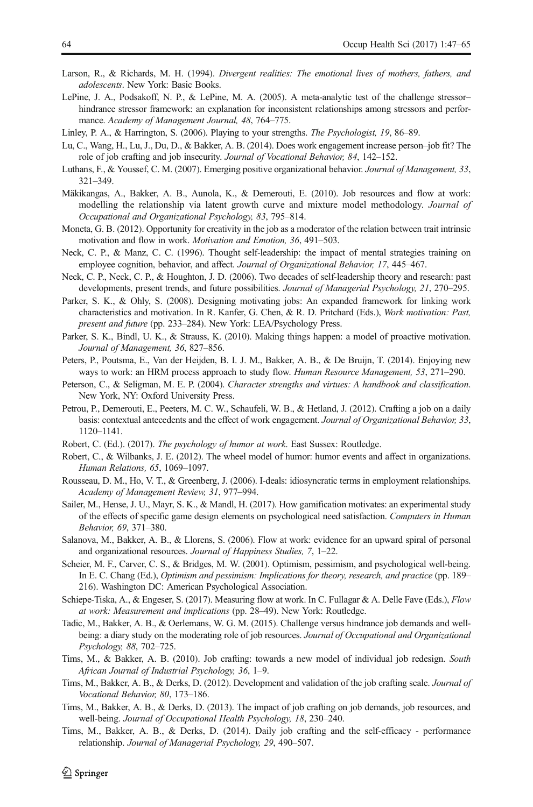- <span id="page-17-0"></span>Larson, R., & Richards, M. H. (1994). Divergent realities: The emotional lives of mothers, fathers, and adolescents. New York: Basic Books.
- LePine, J. A., Podsakoff, N. P., & LePine, M. A. (2005). A meta-analytic test of the challenge stressor– hindrance stressor framework: an explanation for inconsistent relationships among stressors and performance. Academy of Management Journal, 48, 764–775.

Linley, P. A., & Harrington, S. (2006). Playing to your strengths. The Psychologist, 19, 86–89.

- Lu, C., Wang, H., Lu, J., Du, D., & Bakker, A. B. (2014). Does work engagement increase person–job fit? The role of job crafting and job insecurity. Journal of Vocational Behavior, 84, 142–152.
- Luthans, F., & Youssef, C. M. (2007). Emerging positive organizational behavior. Journal of Management, 33, 321–349.
- Mäkikangas, A., Bakker, A. B., Aunola, K., & Demerouti, E. (2010). Job resources and flow at work: modelling the relationship via latent growth curve and mixture model methodology. Journal of Occupational and Organizational Psychology, 83, 795–814.
- Moneta, G. B. (2012). Opportunity for creativity in the job as a moderator of the relation between trait intrinsic motivation and flow in work. Motivation and Emotion, 36, 491–503.
- Neck, C. P., & Manz, C. C. (1996). Thought self-leadership: the impact of mental strategies training on employee cognition, behavior, and affect. Journal of Organizational Behavior, 17, 445–467.
- Neck, C. P., Neck, C. P., & Houghton, J. D. (2006). Two decades of self-leadership theory and research: past developments, present trends, and future possibilities. Journal of Managerial Psychology, 21, 270–295.
- Parker, S. K., & Ohly, S. (2008). Designing motivating jobs: An expanded framework for linking work characteristics and motivation. In R. Kanfer, G. Chen, & R. D. Pritchard (Eds.), Work motivation: Past, present and future (pp. 233–284). New York: LEA/Psychology Press.
- Parker, S. K., Bindl, U. K., & Strauss, K. (2010). Making things happen: a model of proactive motivation. Journal of Management, 36, 827–856.
- Peters, P., Poutsma, E., Van der Heijden, B. I. J. M., Bakker, A. B., & De Bruijn, T. (2014). Enjoying new ways to work: an HRM process approach to study flow. Human Resource Management, 53, 271–290.
- Peterson, C., & Seligman, M. E. P. (2004). Character strengths and virtues: A handbook and classification. New York, NY: Oxford University Press.
- Petrou, P., Demerouti, E., Peeters, M. C. W., Schaufeli, W. B., & Hetland, J. (2012). Crafting a job on a daily basis: contextual antecedents and the effect of work engagement. Journal of Organizational Behavior, 33, 1120–1141.
- Robert, C. (Ed.). (2017). The psychology of humor at work. East Sussex: Routledge.
- Robert, C., & Wilbanks, J. E. (2012). The wheel model of humor: humor events and affect in organizations. Human Relations, 65, 1069–1097.
- Rousseau, D. M., Ho, V. T., & Greenberg, J. (2006). I-deals: idiosyncratic terms in employment relationships. Academy of Management Review, 31, 977–994.
- Sailer, M., Hense, J. U., Mayr, S. K., & Mandl, H. (2017). How gamification motivates: an experimental study of the effects of specific game design elements on psychological need satisfaction. Computers in Human Behavior, 69, 371–380.
- Salanova, M., Bakker, A. B., & Llorens, S. (2006). Flow at work: evidence for an upward spiral of personal and organizational resources. Journal of Happiness Studies, 7, 1–22.
- Scheier, M. F., Carver, C. S., & Bridges, M. W. (2001). Optimism, pessimism, and psychological well-being. In E. C. Chang (Ed.), Optimism and pessimism: Implications for theory, research, and practice (pp. 189– 216). Washington DC: American Psychological Association.
- Schiepe-Tiska, A., & Engeser, S. (2017). Measuring flow at work. In C. Fullagar & A. Delle Fave (Eds.), Flow at work: Measurement and implications (pp. 28–49). New York: Routledge.
- Tadic, M., Bakker, A. B., & Oerlemans, W. G. M. (2015). Challenge versus hindrance job demands and wellbeing: a diary study on the moderating role of job resources. Journal of Occupational and Organizational Psychology, 88, 702–725.
- Tims, M., & Bakker, A. B. (2010). Job crafting: towards a new model of individual job redesign. South African Journal of Industrial Psychology, 36, 1–9.
- Tims, M., Bakker, A. B., & Derks, D. (2012). Development and validation of the job crafting scale. Journal of Vocational Behavior, 80, 173–186.
- Tims, M., Bakker, A. B., & Derks, D. (2013). The impact of job crafting on job demands, job resources, and well-being. Journal of Occupational Health Psychology, 18, 230–240.
- Tims, M., Bakker, A. B., & Derks, D. (2014). Daily job crafting and the self-efficacy performance relationship. Journal of Managerial Psychology, 29, 490–507.